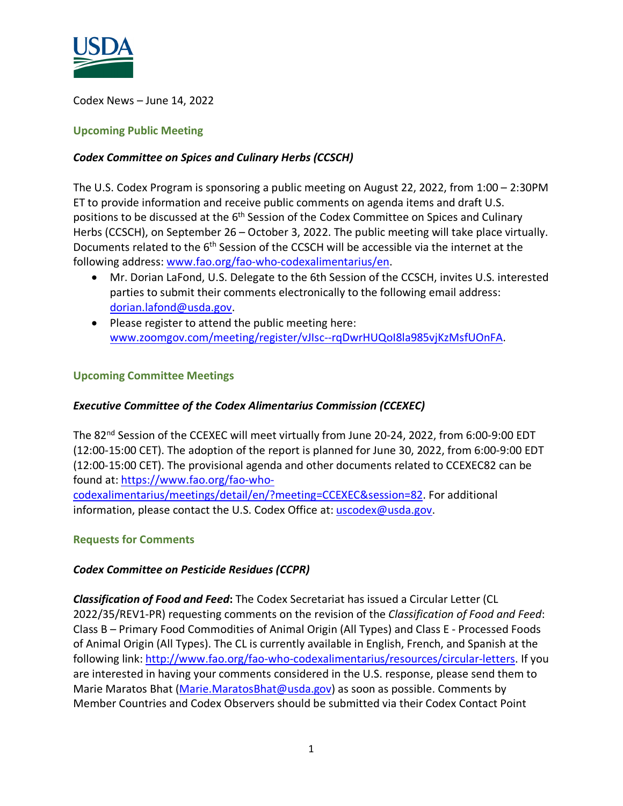

Codex News – June 14, 2022

#### **Upcoming Public Meeting**

### *Codex Committee on Spices and Culinary Herbs (CCSCH)*

The U.S. Codex Program is sponsoring a public meeting on August 22, 2022, from 1:00 – 2:30PM ET to provide information and receive public comments on agenda items and draft U.S. positions to be discussed at the 6<sup>th</sup> Session of the Codex Committee on Spices and Culinary Herbs (CCSCH), on September 26 – October 3, 2022. The public meeting will take place virtually. Documents related to the 6<sup>th</sup> Session of the CCSCH will be accessible via the internet at the following address[: www.fao.org/fao-who-codexalimentarius/en.](http://www.fao.org/fao-who-codexalimentarius/en)

- Mr. Dorian LaFond, U.S. Delegate to the 6th Session of the CCSCH, invites U.S. interested parties to submit their comments electronically to the following email address: [dorian.lafond@usda.gov.](mailto:dorian.lafond@usda.gov)
- Please register to attend the public meeting here: [www.zoomgov.com/meeting/register/vJIsc--rqDwrHUQoI8la985vjKzMsfUOnFA.](http://www.zoomgov.com/meeting/register/vJIsc--rqDwrHUQoI8la985vjKzMsfUOnFA)

#### **Upcoming Committee Meetings**

## *Executive Committee of the Codex Alimentarius Commission (CCEXEC)*

The 82<sup>nd</sup> Session of the CCEXEC will meet virtually from June 20-24, 2022, from 6:00-9:00 EDT (12:00-15:00 CET). The adoption of the report is planned for June 30, 2022, from 6:00-9:00 EDT (12:00-15:00 CET). The provisional agenda and other documents related to CCEXEC82 can be found at: [https://www.fao.org/fao-who-](https://www.fao.org/fao-who-codexalimentarius/meetings/detail/en/?meeting=CCEXEC&session=82)

[codexalimentarius/meetings/detail/en/?meeting=CCEXEC&session=82.](https://www.fao.org/fao-who-codexalimentarius/meetings/detail/en/?meeting=CCEXEC&session=82) For additional information, please contact the U.S. Codex Office at: [uscodex@usda.gov.](mailto:uscodex@usda.gov)

#### **Requests for Comments**

#### *Codex Committee on Pesticide Residues (CCPR)*

*Classification of Food and Feed***:** The Codex Secretariat has issued a Circular Letter (CL 2022/35/REV1-PR) requesting comments on the revision of the *Classification of Food and Feed*: Class B – Primary Food Commodities of Animal Origin (All Types) and Class E - Processed Foods of Animal Origin (All Types). The CL is currently available in English, French, and Spanish at the following link: [http://www.fao.org/fao-who-codexalimentarius/resources/circular-letters.](http://www.fao.org/fao-who-codexalimentarius/resources/circular-letters) If you are interested in having your comments considered in the U.S. response, please send them to Marie Maratos Bhat [\(Marie.MaratosBhat@usda.gov\)](mailto:Marie.MaratosBhat@usda.gov) as soon as possible. Comments by Member Countries and Codex Observers should be submitted via their Codex Contact Point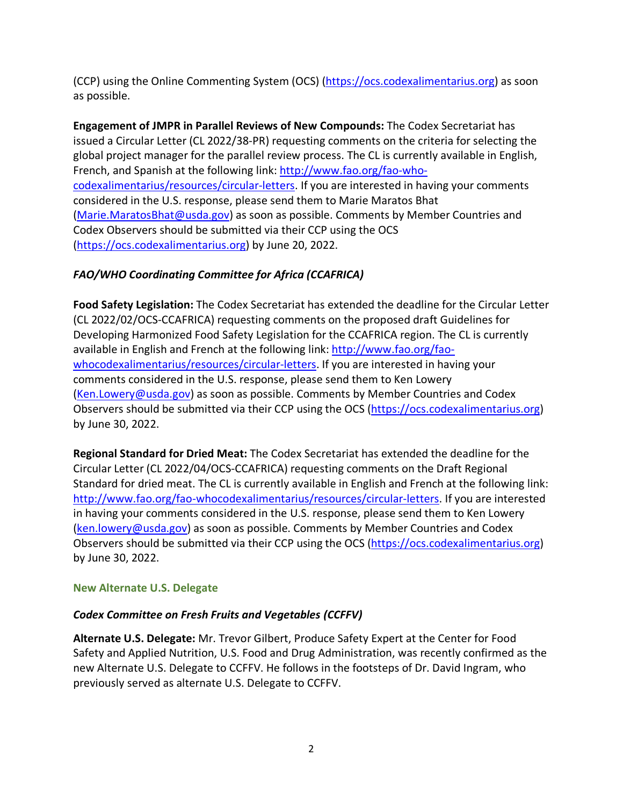(CCP) using the Online Commenting System (OCS) [\(https://ocs.codexalimentarius.org\)](https://ocs.codexalimentarius.org/) as soon as possible.

**Engagement of JMPR in Parallel Reviews of New Compounds:** The Codex Secretariat has issued a Circular Letter (CL 2022/38-PR) requesting comments on the criteria for selecting the global project manager for the parallel review process. The CL is currently available in English, French, and Spanish at the following link: [http://www.fao.org/fao-who](http://www.fao.org/fao-who-codexalimentarius/resources/circular-letters)[codexalimentarius/resources/circular-letters.](http://www.fao.org/fao-who-codexalimentarius/resources/circular-letters) If you are interested in having your comments considered in the U.S. response, please send them to Marie Maratos Bhat [\(Marie.MaratosBhat@usda.gov\)](mailto:Marie.MaratosBhat@usda.gov) as soon as possible. Comments by Member Countries and Codex Observers should be submitted via their CCP using the OCS [\(https://ocs.codexalimentarius.org\)](https://ocs.codexalimentarius.org/) by June 20, 2022.

# *FAO/WHO Coordinating Committee for Africa (CCAFRICA)*

**Food Safety Legislation:** The Codex Secretariat has extended the deadline for the Circular Letter (CL 2022/02/OCS-CCAFRICA) requesting comments on the proposed draft Guidelines for Developing Harmonized Food Safety Legislation for the CCAFRICA region. The CL is currently available in English and French at the following link: [http://www.fao.org/fao](http://www.fao.org/fao-whocodexalimentarius/resources/circular-letters)[whocodexalimentarius/resources/circular-letters.](http://www.fao.org/fao-whocodexalimentarius/resources/circular-letters) If you are interested in having your comments considered in the U.S. response, please send them to Ken Lowery [\(Ken.Lowery@usda.gov\)](mailto:Ken.Lowery@usda.gov) as soon as possible. Comments by Member Countries and Codex Observers should be submitted via their CCP using the OCS [\(https://ocs.codexalimentarius.org\)](https://ocs.codexalimentarius.org/) by June 30, 2022.

**Regional Standard for Dried Meat:** The Codex Secretariat has extended the deadline for the Circular Letter (CL 2022/04/OCS-CCAFRICA) requesting comments on the Draft Regional Standard for dried meat. The CL is currently available in English and French at the following link: [http://www.fao.org/fao-whocodexalimentarius/resources/circular-letters.](http://www.fao.org/fao-whocodexalimentarius/resources/circular-letters) If you are interested in having your comments considered in the U.S. response, please send them to Ken Lowery [\(ken.lowery@usda.gov\)](mailto:ken.lowery@usda.gov) as soon as possible. Comments by Member Countries and Codex Observers should be submitted via their CCP using the OCS [\(https://ocs.codexalimentarius.org\)](https://ocs.codexalimentarius.org/) by June 30, 2022.

## **New Alternate U.S. Delegate**

## *Codex Committee on Fresh Fruits and Vegetables (CCFFV)*

**Alternate U.S. Delegate:** Mr. Trevor Gilbert, Produce Safety Expert at the Center for Food Safety and Applied Nutrition, U.S. Food and Drug Administration, was recently confirmed as the new Alternate U.S. Delegate to CCFFV. He follows in the footsteps of Dr. David Ingram, who previously served as alternate U.S. Delegate to CCFFV.